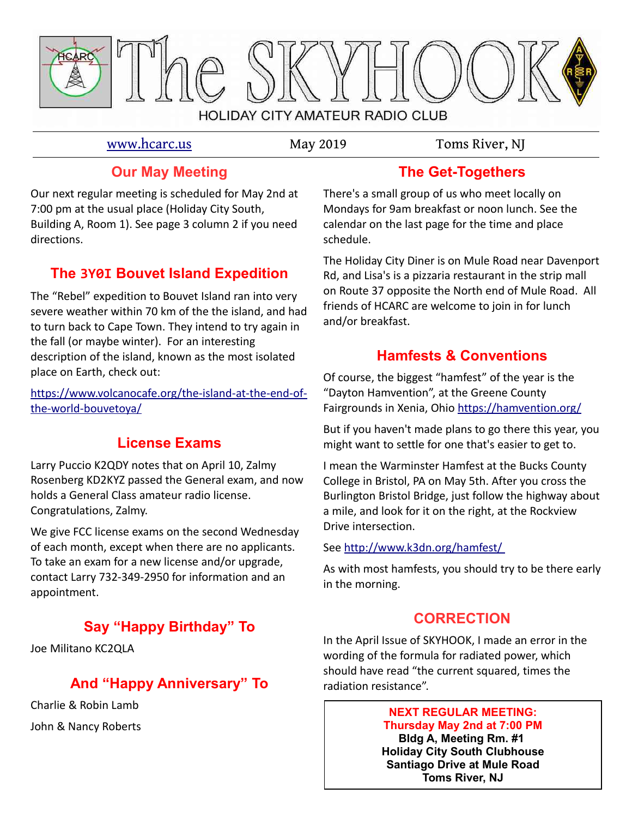

#### [www.hcarc.us](http://www.hcarc.us/) May 2019 Toms River, NJ

#### **Our May Meeting**

Our next regular meeting is scheduled for May 2nd at 7:00 pm at the usual place (Holiday City South, Building A, Room 1). See page 3 column 2 if you need directions.

## **The 3Y0I Bouvet Island Expedition**

The "Rebel" expedition to Bouvet Island ran into very severe weather within 70 km of the the island, and had to turn back to Cape Town. They intend to try again in the fall (or maybe winter). For an interesting description of the island, known as the most isolated place on Earth, check out:

[https://www.volcanocafe.org/the-island-at-the-end-of](https://www.volcanocafe.org/the-island-at-the-end-of-the-world-bouvetoya/)[the-world-bouvetoya/](https://www.volcanocafe.org/the-island-at-the-end-of-the-world-bouvetoya/)

#### **License Exams**

Larry Puccio K2QDY notes that on April 10, Zalmy Rosenberg KD2KYZ passed the General exam, and now holds a General Class amateur radio license. Congratulations, Zalmy.

We give FCC license exams on the second Wednesday of each month, except when there are no applicants. To take an exam for a new license and/or upgrade, contact Larry 732-349-2950 for information and an appointment.

## **Say "Happy Birthday" To**

Joe Militano KC2QLA

## **And "Happy Anniversary" To**

Charlie & Robin Lamb John & Nancy Roberts

## **The Get-Togethers**

There's a small group of us who meet locally on Mondays for 9am breakfast or noon lunch. See the calendar on the last page for the time and place schedule.

The Holiday City Diner is on Mule Road near Davenport Rd, and Lisa's is a pizzaria restaurant in the strip mall on Route 37 opposite the North end of Mule Road. All friends of HCARC are welcome to join in for lunch and/or breakfast.

#### **Hamfests & Conventions**

Of course, the biggest "hamfest" of the year is the "Dayton Hamvention", at the Greene County Fairgrounds in Xenia, Ohio<https://hamvention.org/>

But if you haven't made plans to go there this year, you might want to settle for one that's easier to get to.

I mean the Warminster Hamfest at the Bucks County College in Bristol, PA on May 5th. After you cross the Burlington Bristol Bridge, just follow the highway about a mile, and look for it on the right, at the Rockview Drive intersection.

#### See [http://www.k3dn.org/hamfest/](file:///C:/Users/John/Favorites/Cabinet/SKYHOOK/BACK%20ISSUES/%20http://www.k3dn.org/hamfest/)

As with most hamfests, you should try to be there early in the morning.

#### **CORRECTION**

In the April Issue of SKYHOOK, I made an error in the wording of the formula for radiated power, which should have read "the current squared, times the radiation resistance".

#### **NEXT REGULAR MEETING: Thursday May 2nd at 7:00 PM**

**Bldg A, Meeting Rm. #1 Holiday City South Clubhouse Santiago Drive at Mule Road Toms River, NJ**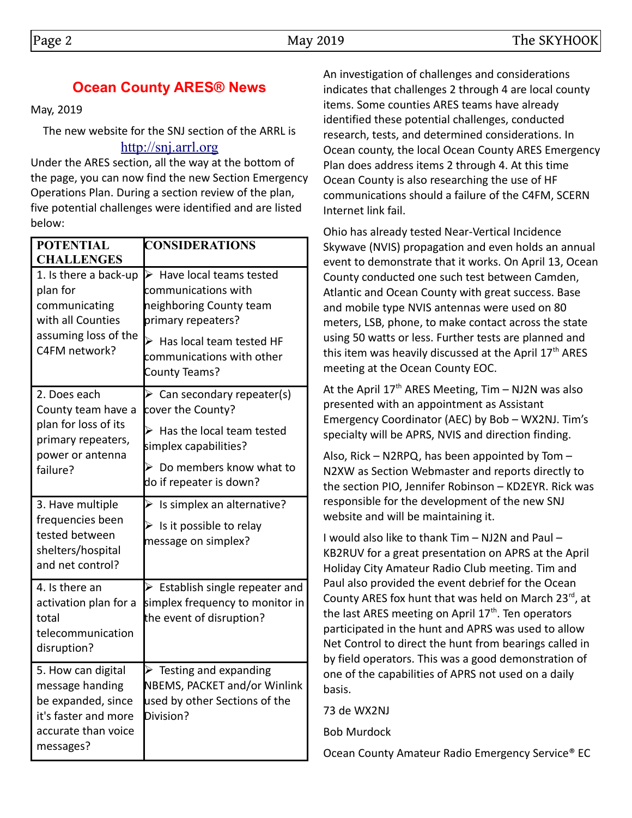## **Ocean County ARES® News**

May, 2019

The new website for the SNJ section of the ARRL is [http://snj.arrl.org](http://snj.arrl.org/)

Under the ARES section, all the way at the bottom of the page, you can now find the new Section Emergency Operations Plan. During a section review of the plan, five potential challenges were identified and are listed below:

| <b>POTENTIAL</b><br><b>CHALLENGES</b>                                                                                   | <b>CONSIDERATIONS</b>                                                                                                                                                                        |
|-------------------------------------------------------------------------------------------------------------------------|----------------------------------------------------------------------------------------------------------------------------------------------------------------------------------------------|
| 1. Is there a back-up<br>plan for<br>communicating<br>with all Counties<br>assuming loss of the<br>C4FM network?        | $\triangleright$ Have local teams tested<br>communications with<br>neighboring County team<br>primary repeaters?<br>Has local team tested HF<br>communications with other<br>County Teams?   |
| 2. Does each<br>County team have a<br>plan for loss of its<br>primary repeaters,<br>power or antenna<br>failure?        | $\triangleright$ Can secondary repeater(s)<br>cover the County?<br>$\triangleright$ Has the local team tested<br>simplex capabilities?<br>Do members know what to<br>do if repeater is down? |
| 3. Have multiple<br>frequencies been<br>tested between<br>shelters/hospital<br>and net control?                         | Is simplex an alternative?<br>$\blacktriangleright$<br>$\triangleright$ Is it possible to relay<br>message on simplex?                                                                       |
| 4. Is there an<br>activation plan for a<br>total<br>telecommunication<br>disruption?                                    | Establish single repeater and<br>simplex frequency to monitor in<br>the event of disruption?                                                                                                 |
| 5. How can digital<br>message handing<br>be expanded, since<br>it's faster and more<br>accurate than voice<br>messages? | Testing and expanding<br>➤<br>NBEMS, PACKET and/or Winlink<br>used by other Sections of the<br>Division?                                                                                     |

An investigation of challenges and considerations indicates that challenges 2 through 4 are local county items. Some counties ARES teams have already identified these potential challenges, conducted research, tests, and determined considerations. In Ocean county, the local Ocean County ARES Emergency Plan does address items 2 through 4. At this time Ocean County is also researching the use of HF communications should a failure of the C4FM, SCERN Internet link fail.

Ohio has already tested Near-Vertical Incidence Skywave (NVIS) propagation and even holds an annual event to demonstrate that it works. On April 13, Ocean County conducted one such test between Camden, Atlantic and Ocean County with great success. Base and mobile type NVIS antennas were used on 80 meters, LSB, phone, to make contact across the state using 50 watts or less. Further tests are planned and this item was heavily discussed at the April 17<sup>th</sup> ARES meeting at the Ocean County EOC.

At the April  $17<sup>th</sup>$  ARES Meeting, Tim – NJ2N was also presented with an appointment as Assistant Emergency Coordinator (AEC) by Bob – WX2NJ. Tim's specialty will be APRS, NVIS and direction finding.

Also, Rick – N2RPQ, has been appointed by Tom – N2XW as Section Webmaster and reports directly to the section PIO, Jennifer Robinson – KD2EYR. Rick was responsible for the development of the new SNJ website and will be maintaining it.

I would also like to thank Tim – NJ2N and Paul – KB2RUV for a great presentation on APRS at the April Holiday City Amateur Radio Club meeting. Tim and Paul also provided the event debrief for the Ocean County ARES fox hunt that was held on March  $23^{rd}$ , at the last ARES meeting on April 17<sup>th</sup>. Ten operators participated in the hunt and APRS was used to allow Net Control to direct the hunt from bearings called in by field operators. This was a good demonstration of one of the capabilities of APRS not used on a daily basis.

73 de WX2NJ

Bob Murdock

Ocean County Amateur Radio Emergency Service® EC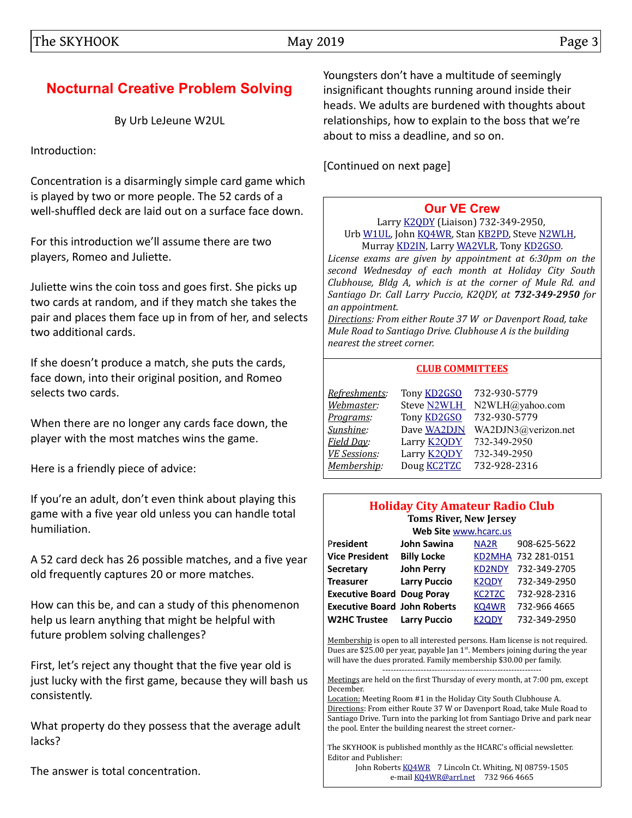## **Nocturnal Creative Problem Solving**

By Urb LeJeune W2UL

Introduction:

Concentration is a disarmingly simple card game which is played by two or more people. The 52 cards of a well-shuffled deck are laid out on a surface face down.

For this introduction we'll assume there are two players, Romeo and Juliette.

Juliette wins the coin toss and goes first. She picks up two cards at random, and if they match she takes the pair and places them face up in from of her, and selects two additional cards.

If she doesn't produce a match, she puts the cards, face down, into their original position, and Romeo selects two cards.

When there are no longer any cards face down, the player with the most matches wins the game.

Here is a friendly piece of advice:

If you're an adult, don't even think about playing this game with a five year old unless you can handle total humiliation.

A 52 card deck has 26 possible matches, and a five year old frequently captures 20 or more matches.

How can this be, and can a study of this phenomenon help us learn anything that might be helpful with future problem solving challenges?

First, let's reject any thought that the five year old is just lucky with the first game, because they will bash us consistently.

What property do they possess that the average adult lacks?

The answer is total concentration.

Youngsters don't have a multitude of seemingly insignificant thoughts running around inside their heads. We adults are burdened with thoughts about relationships, how to explain to the boss that we're about to miss a deadline, and so on.

[Continued on next page]

#### **[Our VE Crew](mailto:lpuccio1@comcast.net?subject=VE)**

Larry [K2QDY](mailto:lpuccio1@comcast.net) (Liaison) 732-349-2950, Urb [W1UL,](mailto:urb@W1UL.com) John [KQ4WR,](mailto:kq4wr@arrl.net) Stan [KB2PD,](mailto:kb2pd@hotmail.com) Steve [N2WLH,](mailto:n2wlh@yahoo.com) Murray [KD2IN,](mailto:murraykd2in@comcast.net) Larry [WA2VLR,](mailto:lloscalz@optonline.net) Tony [KD2GSO.](mailto:tonyk613@comcast.net)

*License exams are given by appointment at 6:30pm on the second Wednesday of each month at Holiday City South Clubhouse, Bldg A, which is at the corner of Mule Rd. and Santiago Dr. Call Larry Puccio, K2QDY, at 732-349-2950 for an appointment.* 

*Directions: From either Route 37 W or Davenport Road, take Mule Road to Santiago Drive. Clubhouse A is the building nearest the street corner.*

#### **CLUB COMMITTEES**

| Refreshments:       | Tony <b>KD2GSO</b> | 732-930-5779        |
|---------------------|--------------------|---------------------|
| Webmaster:          | Steve N2WLH        | N2WLH@yahoo.com     |
| Programs:           | Tony <b>KD2GSO</b> | 732-930-5779        |
| Sunshine:           | Dave WA2DJN        | WA2DJN3@verizon.net |
| Field Day:          | Larry <b>K2QDY</b> | 732-349-2950        |
| <b>VE Sessions:</b> | Larry <b>K2QDY</b> | 732-349-2950        |
| Membership:         | Doug <b>KC2TZC</b> | 732-928-2316        |
|                     |                    |                     |

#### **Holiday City Amateur Radio Club Toms River, New Jersey**

| Web Site www.hcarc.us               |                     |                    |                     |  |  |  |  |
|-------------------------------------|---------------------|--------------------|---------------------|--|--|--|--|
| President                           | <b>John Sawina</b>  | NA <sub>2</sub> R  | 908-625-5622        |  |  |  |  |
| <b>Vice President</b>               | <b>Billy Locke</b>  |                    | KD2MHA 732 281-0151 |  |  |  |  |
| <b>Secretary</b>                    | <b>John Perry</b>   | <b>KD2NDY</b>      | 732-349-2705        |  |  |  |  |
| <b>Treasurer</b>                    | <b>Larry Puccio</b> | K <sub>2</sub> ODY | 732-349-2950        |  |  |  |  |
| <b>Executive Board Doug Poray</b>   |                     | <b>KC2TZC</b>      | 732-928-2316        |  |  |  |  |
| <b>Executive Board John Roberts</b> |                     | KQ4WR              | 732-966 4665        |  |  |  |  |
| <b>W2HC Trustee</b>                 | <b>Larry Puccio</b> | K <sub>2</sub> ODY | 732-349-2950        |  |  |  |  |

Membership is open to all interested persons. Ham license is not required. Dues are \$25.00 per year, payable Jan  $1<sup>st</sup>$ . Members joining during the year will have the dues prorated. Family membership \$30.00 per family. ----------------------------------------------------------

Meetings are held on the first Thursday of every month, at 7:00 pm, except December.

Location: Meeting Room #1 in the Holiday City South Clubhouse A. Directions: From either Route 37 W or Davenport Road, take Mule Road to Santiago Drive. Turn into the parking lot from Santiago Drive and park near the pool. Enter the building nearest the street corner.-

The SKYHOOK is published monthly as the HCARC's official newsletter. Editor and Publisher:

John Roberts [KQ4WR](mailto:kq4wr@arrl.net) 7 Lincoln Ct. Whiting, NJ 08759-1505 e-mail [KQ4WR@arrl.net](mailto:KQ4WR@arrl.net) 732 966 4665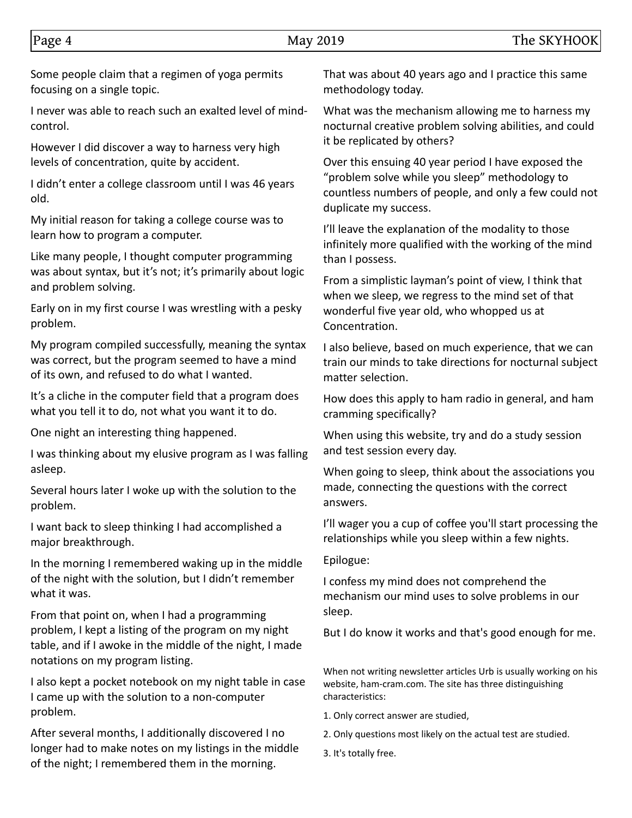Some people claim that a regimen of yoga permits focusing on a single topic.

I never was able to reach such an exalted level of mindcontrol.

However I did discover a way to harness very high levels of concentration, quite by accident.

I didn't enter a college classroom until I was 46 years old.

My initial reason for taking a college course was to learn how to program a computer.

Like many people, I thought computer programming was about syntax, but it's not; it's primarily about logic and problem solving.

Early on in my first course I was wrestling with a pesky problem.

My program compiled successfully, meaning the syntax was correct, but the program seemed to have a mind of its own, and refused to do what I wanted.

It's a cliche in the computer field that a program does what you tell it to do, not what you want it to do.

One night an interesting thing happened.

I was thinking about my elusive program as I was falling asleep.

Several hours later I woke up with the solution to the problem.

I want back to sleep thinking I had accomplished a major breakthrough.

In the morning I remembered waking up in the middle of the night with the solution, but I didn't remember what it was.

From that point on, when I had a programming problem, I kept a listing of the program on my night table, and if I awoke in the middle of the night, I made notations on my program listing.

I also kept a pocket notebook on my night table in case I came up with the solution to a non-computer problem.

After several months, I additionally discovered I no longer had to make notes on my listings in the middle of the night; I remembered them in the morning.

That was about 40 years ago and I practice this same methodology today.

What was the mechanism allowing me to harness my nocturnal creative problem solving abilities, and could it be replicated by others?

Over this ensuing 40 year period I have exposed the "problem solve while you sleep" methodology to countless numbers of people, and only a few could not duplicate my success.

I'll leave the explanation of the modality to those infinitely more qualified with the working of the mind than I possess.

From a simplistic layman's point of view, I think that when we sleep, we regress to the mind set of that wonderful five year old, who whopped us at Concentration.

I also believe, based on much experience, that we can train our minds to take directions for nocturnal subject matter selection.

How does this apply to ham radio in general, and ham cramming specifically?

When using this website, try and do a study session and test session every day.

When going to sleep, think about the associations you made, connecting the questions with the correct answers.

I'll wager you a cup of coffee you'll start processing the relationships while you sleep within a few nights.

#### Epilogue:

I confess my mind does not comprehend the mechanism our mind uses to solve problems in our sleep.

But I do know it works and that's good enough for me.

When not writing newsletter articles Urb is usually working on his website, ham-cram.com. The site has three distinguishing characteristics:

- 1. Only correct answer are studied,
- 2. Only questions most likely on the actual test are studied.
- 3. It's totally free.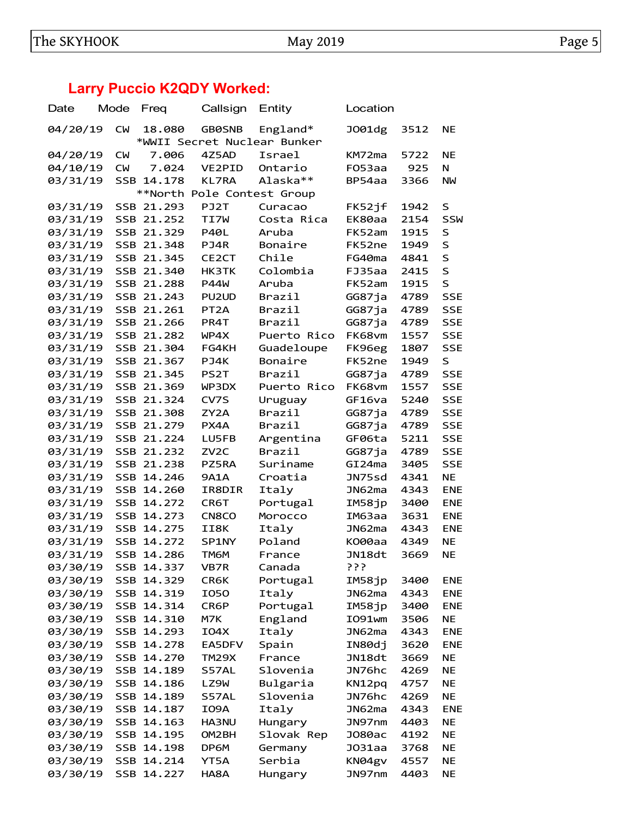# **Larry Puccio K2QDY Worked:**

| Date     | Mode       | Freq       | Callsign          | Entity                      | Location |      |            |
|----------|------------|------------|-------------------|-----------------------------|----------|------|------------|
| 04/20/19 | <b>CM</b>  | 18.080     | <b>GB0SNB</b>     | England*                    | J001dg   | 3512 | <b>NE</b>  |
|          |            |            |                   | *WWII Secret Nuclear Bunker |          |      |            |
| 04/20/19 | <b>CM</b>  | 7.006      | 4Z5AD             | Israel                      | KM72ma   | 5722 | <b>NE</b>  |
| 04/10/19 | <b>CM</b>  | 7.024      | VE2PID            | Ontario                     | F053aa   | 925  | N          |
| 03/31/19 |            | SSB 14.178 | <b>KL7RA</b>      | Alaska**                    | BP54aa   | 3366 | NW         |
|          |            |            |                   | **North Pole Contest Group  |          |      |            |
| 03/31/19 |            | SSB 21.293 | PJ2T              | Curacao                     | FK52jf   | 1942 | S          |
| 03/31/19 |            | SSB 21.252 | TI7W              | Costa Rica                  | EK80aa   | 2154 | SSW        |
| 03/31/19 |            | SSB 21.329 | <b>P40L</b>       | Aruba                       | FK52am   | 1915 | S          |
| 03/31/19 |            | SSB 21.348 | PJ4R              | Bonaire                     | FK52ne   | 1949 | $\sf S$    |
| 03/31/19 |            | SSB 21.345 | CE2CT             | Chile                       | FG40ma   | 4841 | S          |
| 03/31/19 |            | SSB 21.340 | HK3TK             | Colombia                    | FJ35aa   | 2415 | S          |
| 03/31/19 |            | SSB 21.288 | <b>P44W</b>       | Aruba                       | FK52am   | 1915 | S          |
| 03/31/19 |            | SSB 21.243 | PU2UD             | Brazil                      | GG87ja   | 4789 | <b>SSE</b> |
| 03/31/19 |            | SSB 21.261 | PT <sub>2</sub> A | Brazil                      | GG87ja   | 4789 | <b>SSE</b> |
| 03/31/19 |            | SSB 21.266 | PR4T              | Brazil                      | GG87ja   | 4789 | <b>SSE</b> |
| 03/31/19 |            | SSB 21.282 | WP4X              | Puerto Rico                 | FK68vm   | 1557 | <b>SSE</b> |
| 03/31/19 |            | SSB 21.304 | FG4KH             | Guadeloupe                  | FK96eg   | 1807 | <b>SSE</b> |
| 03/31/19 |            | SSB 21.367 | PJ4K              | Bonaire                     | FK52ne   | 1949 | S          |
| 03/31/19 |            | SSB 21.345 | PS <sub>2</sub> T | Brazil                      | GG87ja   | 4789 | <b>SSE</b> |
| 03/31/19 |            | SSB 21.369 | WP3DX             | Puerto Rico                 | FK68vm   | 1557 | <b>SSE</b> |
| 03/31/19 |            | SSB 21.324 | CV7S              | Uruguay                     | GF16va   | 5240 | <b>SSE</b> |
| 03/31/19 |            | SSB 21.308 | ZY2A              | Brazil                      | GG87ja   | 4789 | <b>SSE</b> |
| 03/31/19 |            | SSB 21.279 | PX4A              | Brazil                      | GG87ja   | 4789 | <b>SSE</b> |
| 03/31/19 |            | SSB 21.224 | LU5FB             | Argentina                   | GF06ta   | 5211 | <b>SSE</b> |
| 03/31/19 |            | SSB 21.232 | ZV <sub>2</sub> C | Brazil                      | GG87ja   | 4789 | <b>SSE</b> |
|          |            | SSB 21.238 | PZ5RA             | Suriname                    | GI24ma   | 3405 | <b>SSE</b> |
| 03/31/19 |            |            |                   |                             |          |      | <b>NE</b>  |
| 03/31/19 |            | SSB 14.246 | <b>9A1A</b>       | Croatia                     | JN75sd   | 4341 |            |
| 03/31/19 | <b>SSB</b> | 14.260     | IR8DIR            | Italy                       | JN62ma   | 4343 | <b>ENE</b> |
| 03/31/19 |            | SSB 14.272 | CR6T              | Portugal                    | IM58jp   | 3400 | <b>ENE</b> |
| 03/31/19 |            | SSB 14.273 | CN8CO             | Morocco                     | IM63aa   | 3631 | <b>ENE</b> |
| 03/31/19 |            | SSB 14.275 | II8K              | Italy                       | JN62ma   | 4343 | <b>ENE</b> |
| 03/31/19 |            | SSB 14.272 | SP1NY             | Poland                      | K000aa   | 4349 | NE         |
| 03/31/19 |            | SSB 14.286 | TM6M              | France                      | JN18dt   | 3669 | NE         |
| 03/30/19 |            | SSB 14.337 | VB7R              | Canada                      | ???      |      |            |
| 03/30/19 |            | SSB 14.329 | CR6K              | Portugal                    | IM58jp   | 3400 | <b>ENE</b> |
| 03/30/19 | <b>SSB</b> | 14.319     | <b>I050</b>       | Italy                       | JNG2ma   | 4343 | <b>ENE</b> |
| 03/30/19 |            | SSB 14.314 | CR6P              | Portugal                    | IM58jp   | 3400 | <b>ENE</b> |
| 03/30/19 |            | SSB 14.310 | M7K               | England                     | IO91wm   | 3506 | <b>NE</b>  |
| 03/30/19 | SSB        | 14.293     | I04X              | Italy                       | JN62ma   | 4343 | <b>ENE</b> |
| 03/30/19 | SSB        | 14.278     | EA5DFV            | Spain                       | IN80dj   | 3620 | <b>ENE</b> |
| 03/30/19 | SSB        | 14.270     | TM29X             | France                      | JN18dt   | 3669 | <b>NE</b>  |
| 03/30/19 | SSB        | 14.189     | S57AL             | Slovenia                    | JN76hc   | 4269 | NE         |
| 03/30/19 |            | SSB 14.186 | LZ9W              | Bulgaria                    | KN12pq   | 4757 | NE         |
| 03/30/19 |            | SSB 14.189 | S57AL             | Slovenia                    | JN76hc   | 4269 | <b>NE</b>  |
| 03/30/19 |            | SSB 14.187 | I09A              | Italy                       | JN62ma   | 4343 | <b>ENE</b> |
| 03/30/19 |            | SSB 14.163 | HA3NU             | Hungary                     | JN97nm   | 4403 | NE         |
| 03/30/19 |            | SSB 14.195 | OM2BH             | Slovak Rep                  | J080ac   | 4192 | <b>NE</b>  |
| 03/30/19 | SSB        | 14.198     | DP6M              | Germany                     | J031aa   | 3768 | NE         |
| 03/30/19 | SSB        | 14.214     | YT5A              | Serbia                      | KN04gv   | 4557 | NE         |
| 03/30/19 |            | SSB 14.227 | HA8A              | Hungary                     | JN97nm   | 4403 | <b>NE</b>  |
|          |            |            |                   |                             |          |      |            |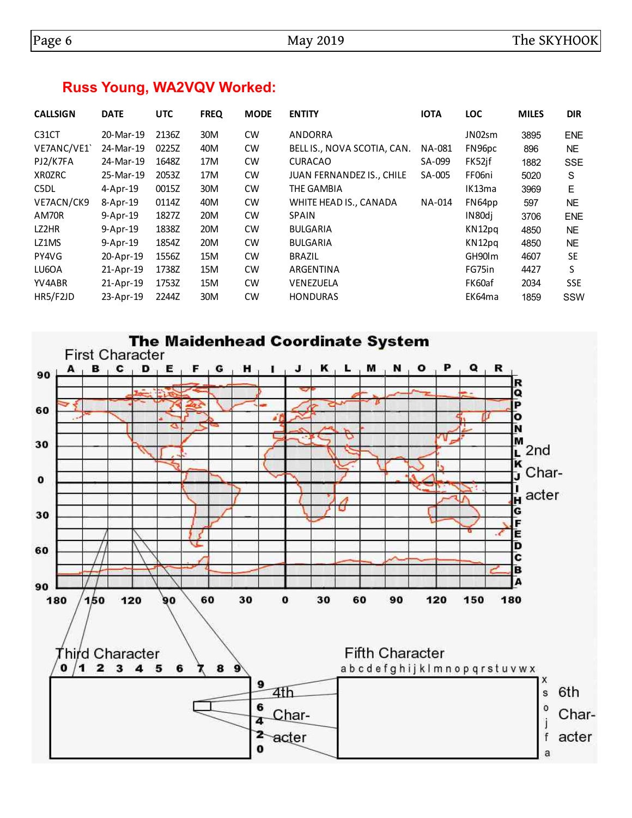## **Russ Young, WA2VQV Worked:**

| <b>CALLSIGN</b> | <b>DATE</b> | <b>UTC</b> | <b>FREQ</b> | <b>MODE</b> | <b>ENTITY</b>               | <b>IOTA</b> | <b>LOC</b> | <b>MILES</b> | <b>DIR</b> |
|-----------------|-------------|------------|-------------|-------------|-----------------------------|-------------|------------|--------------|------------|
| C31CT           | 20-Mar-19   | 2136Z      | 30M         | <b>CW</b>   | ANDORRA                     |             | JN02sm     | 3895         | <b>ENE</b> |
| VE7ANC/VE1      | 24-Mar-19   | 0225Z      | 40M         | <b>CW</b>   | BELL IS., NOVA SCOTIA, CAN. | NA-081      | FN96pc     | 896          | NE.        |
| PJ2/K7FA        | 24-Mar-19   | 1648Z      | 17M         | <b>CW</b>   | <b>CURACAO</b>              | SA-099      | FK52jf     | 1882         | <b>SSE</b> |
| XR0ZRC          | 25-Mar-19   | 2053Z      | 17M         | <b>CW</b>   | JUAN FERNANDEZ IS., CHILE   | SA-005      | FF06ni     | 5020         | S          |
| C5DL            | 4-Apr-19    | 0015Z      | 30M         | <b>CW</b>   | THE GAMBIA                  |             | IK13ma     | 3969         | E.         |
| VE7ACN/CK9      | 8-Apr-19    | 0114Z      | 40M         | <b>CW</b>   | WHITE HEAD IS., CANADA      | NA-014      | FN64pp     | 597          | NE.        |
| AM70R           | 9-Apr-19    | 1827Z      | 20M         | <b>CW</b>   | <b>SPAIN</b>                |             | IN80di     | 3706         | <b>ENE</b> |
| LZ2HR           | 9-Apr-19    | 1838Z      | 20M         | <b>CW</b>   | <b>BULGARIA</b>             |             | KN12pg     | 4850         | <b>NE</b>  |
| LZ1MS           | 9-Apr-19    | 1854Z      | 20M         | <b>CW</b>   | <b>BULGARIA</b>             |             | KN12pg     | 4850         | NE.        |
| PY4VG           | 20-Apr-19   | 1556Z      | 15M         | <b>CW</b>   | <b>BRAZIL</b>               |             | GH90 m     | 4607         | <b>SE</b>  |
| LU6OA           | 21-Apr-19   | 1738Z      | 15M         | <b>CW</b>   | ARGENTINA                   |             | FG75in     | 4427         | S          |
| YV4ABR          | 21-Apr-19   | 1753Z      | 15M         | <b>CW</b>   | VENEZUELA                   |             | FK60af     | 2034         | <b>SSE</b> |
| HR5/F2JD        | 23-Apr-19   | 2244Z      | 30M         | <b>CW</b>   | <b>HONDURAS</b>             |             | EK64ma     | 1859         | <b>SSW</b> |

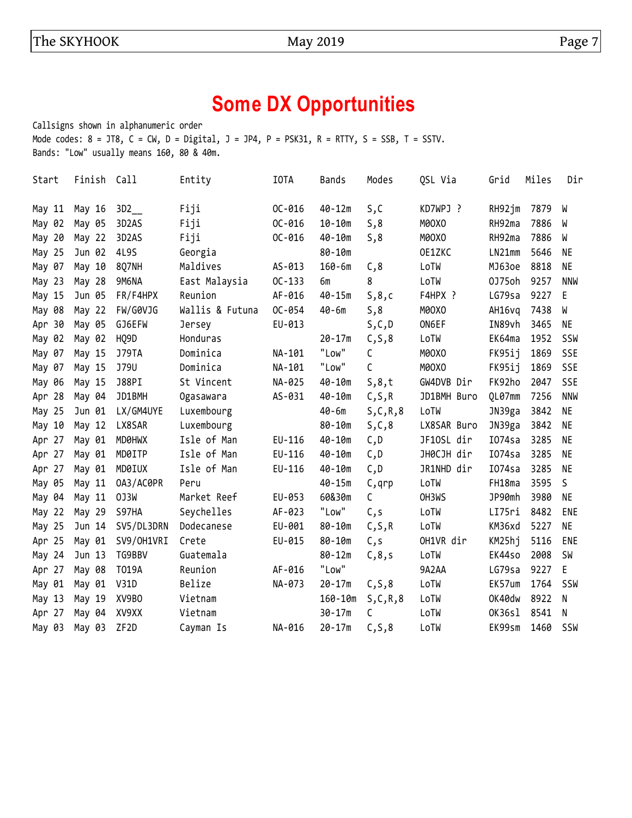#### The SKYHOOK May 2019 May 2019

# **Some DX Opportunities**

Callsigns shown in alphanumeric order Mode codes:  $8 = JTS$ ,  $C = CW$ ,  $D = Digital$ ,  $J = JP4$ ,  $P = PSK31$ ,  $R = RTTY$ ,  $S = SSB$ ,  $T = SSTV$ . Bands: "Low" usually means 160, 80 & 40m.

| Start  | Finish Call |                   | Entity          | <b>IOTA</b> | Bands       | Modes   | QSL Via     | Grid      | Miles | Dir        |
|--------|-------------|-------------------|-----------------|-------------|-------------|---------|-------------|-----------|-------|------------|
| May 11 | May 16      | 3D2               | Fiji            | $OC-016$    | $40 - 12m$  | S,C     | KD7WPJ ?    | RH92jm    | 7879  | W          |
| May 02 | May 05      | 3D2AS             | Fiji            | $OC - 016$  | $10 - 10m$  | 5,8     | M0OXO       | RH92ma    | 7886  | W          |
| May 20 | May 22      | 3D2AS             | Fiji            | $OC-016$    | $40 - 10m$  | S, 8    | M0OXO       | RH92ma    | 7886  | W          |
| May 25 | Jun 02      | 4L9S              | Georgia         |             | $80 - 10m$  |         | OE1ZKC      | LN21mm    | 5646  | <b>NE</b>  |
| May 07 | May 10      | 8Q7NH             | Maldives        | AS-013      | $160 - 6m$  | C, 8    | LoTW        | MJ63oe    | 8818  | <b>NE</b>  |
| May 23 | May 28      | 9M6NA             | East Malaysia   | $OC-133$    | бm          | 8       | LoTW        | 0J75oh    | 9257  | <b>NNW</b> |
| May 15 | Jun 05      | FR/F4HPX          | Reunion         | AF-016      | $40 - 15m$  | S, 8, c | F4HPX ?     | LG79sa    | 9227  | E.         |
| May 08 | May 22      | FW/G0VJG          | Wallis & Futuna | OC-054      | $40 - 6m$   | S, 8    | M00X0       | AH16vg    | 7438  | W          |
| Apr 30 | May 05      | GJ6EFW            | Jersey          | EU-013      |             | S, C, D | ON6EF       | IN89vh    | 3465  | <b>NE</b>  |
| May 02 | May 02      | HQ9D              | Honduras        |             | $20 - 17m$  | C, S, 8 | LoTW        | EK64ma    | 1952  | SSW        |
| May 07 | May 15      | <b>J79TA</b>      | Dominica        | NA-101      | "Low"       | С       | M0OXO       | FK95ij    | 1869  | <b>SSE</b> |
| May 07 | May 15      | J79U              | Dominica        | NA-101      | "Low"       | C       | M0OXO       | FK95ij    | 1869  | <b>SSE</b> |
| May 06 | May 15      | J88PI             | St Vincent      | NA-025      | $40 - 10m$  | 5,8,t   | GW4DVB Dir  | FK92ho    | 2047  | <b>SSE</b> |
| Apr 28 | May 04      | JD1BMH            | Ogasawara       | AS-031      | $40 - 10m$  | C, S, R | JD1BMH Buro | QL07mm    | 7256  | <b>NNW</b> |
| May 25 | Jun 01      | LX/GM4UYE         | Luxembourg      |             | $40 - 6m$   | S,C,R,8 | LoTW        | JN39ga    | 3842  | <b>NE</b>  |
| May 10 | May 12      | LX8SAR            | Luxembourg      |             | $80 - 10m$  | S,C,8   | LX8SAR Buro | JN39ga    | 3842  | <b>NE</b>  |
| Apr 27 | May 01      | MD0HWX            | Isle of Man     | EU-116      | $40 - 10m$  | C, D    | JF10SL dir  | $I074$ sa | 3285  | <b>NE</b>  |
| Apr 27 | May 01      | MD0ITP            | Isle of Man     | EU-116      | $40 - 10m$  | C,D     | JH0CJH dir  | I074sa    | 3285  | ΝE         |
| Apr 27 | May 01      | MD0IUX            | Isle of Man     | EU-116      | $40 - 10m$  | C, D    | JR1NHD dir  | I074sa    | 3285  | <b>NE</b>  |
| May 05 | May 11      | 0A3/AC0PR         | Peru            |             | $40 - 15m$  | C, qrp  | LoTW        | FH18ma    | 3595  | S          |
| May 04 | May 11      | 0J3W              | Market Reef     | EU-053      | 60&30m      | C       | OH3WS       | JP90mh    | 3980  | <b>NE</b>  |
| May 22 | May 29      | S97HA             | Seychelles      | AF-023      | "Low"       | C,s     | LoTW        | LI75ri    | 8482  | ENE        |
| May 25 | Jun 14      | SV5/DL3DRN        | Dodecanese      | EU-001      | $80 - 10m$  | C, S, R | LoTW        | KM36xd    | 5227  | <b>NE</b>  |
| Apr 25 | May 01      | SV9/OH1VRI        | Crete           | EU-015      | $80 - 10m$  | C, S    | OH1VR dir   | KM25hj    | 5116  | ENE        |
| May 24 | Jun 13      | TG9BBV            | Guatemala       |             | $80 - 12m$  | C, 8, s | LoTW        | EK44so    | 2008  | <b>SW</b>  |
| Apr 27 | May 08      | T019A             | Reunion         | AF-016      | "Low"       |         | 9A2AA       | LG79sa    | 9227  | E          |
| May 01 | May 01      | <b>V31D</b>       | Belize          | NA-073      | $20 - 17m$  | C, S, 8 | LoTW        | EK57um    | 1764  | SSW        |
| May 13 | May 19      | XV9BO             | Vietnam         |             | $160 - 10m$ | S,C,R,8 | LoTW        | OK40dw    | 8922  | N          |
| Apr 27 | May 04      | XV9XX             | Vietnam         |             | $30 - 17m$  | C       | LoTW        | OK36sl    | 8541  | N          |
| May 03 | May 03      | ZF <sub>2</sub> D | Cayman Is       | NA-016      | $20 - 17m$  | C, S, 8 | LoTW        | EK99sm    | 1460  | SSW        |